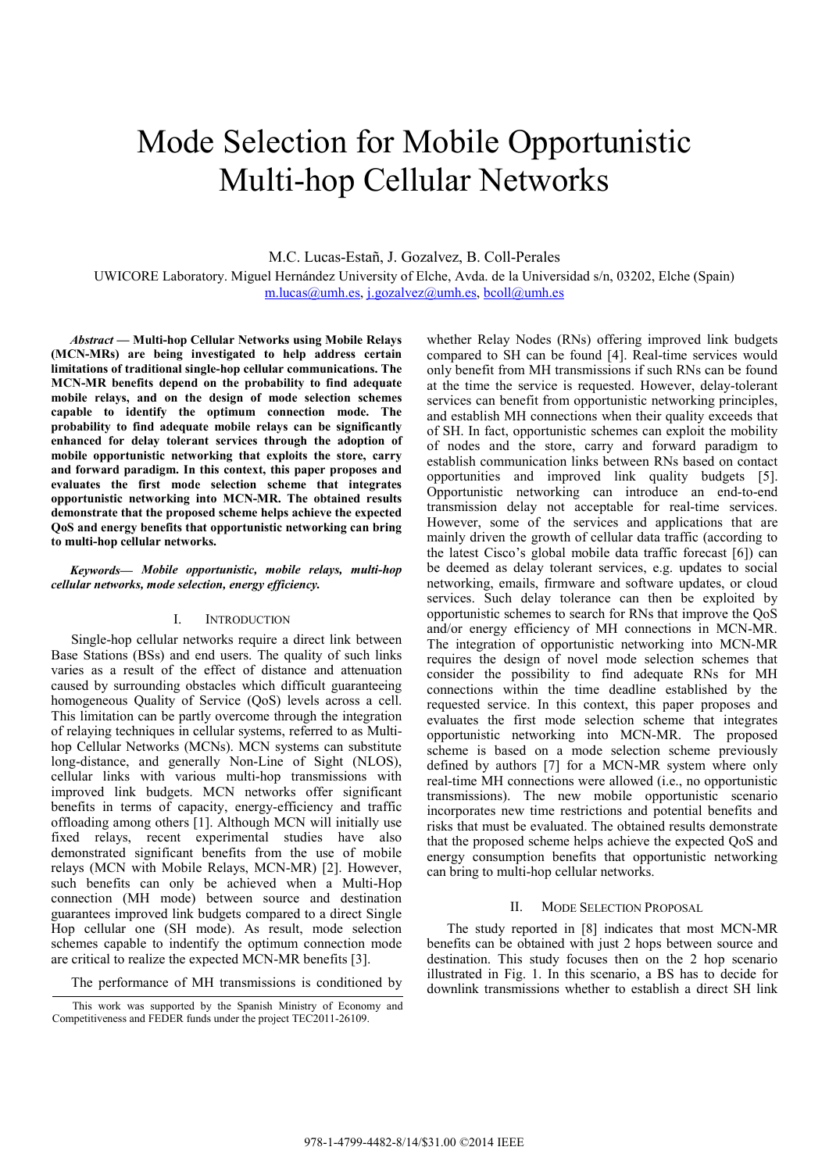# Mode Selection for Mobile Opportunistic Multi-hop Cellular Networks

M.C. Lucas-Estañ, J. Gozalvez, B. Coll-Perales

UWICORE Laboratory. Miguel Hernández University of Elche, Avda. de la Universidad s/n, 03202, Elche (Spain) m.lucas@umh.es, j.gozalvez@umh.es, bcoll@umh.es

*Abstract* **— Multi-hop Cellular Networks using Mobile Relays (MCN-MRs) are being investigated to help address certain limitations of traditional single-hop cellular communications. The MCN-MR benefits depend on the probability to find adequate mobile relays, and on the design of mode selection schemes capable to identify the optimum connection mode. The probability to find adequate mobile relays can be significantly enhanced for delay tolerant services through the adoption of mobile opportunistic networking that exploits the store, carry and forward paradigm. In this context, this paper proposes and evaluates the first mode selection scheme that integrates opportunistic networking into MCN-MR. The obtained results demonstrate that the proposed scheme helps achieve the expected QoS and energy benefits that opportunistic networking can bring to multi-hop cellular networks.** 

*Keywords— Mobile opportunistic, mobile relays, multi-hop cellular networks, mode selection, energy efficiency.* 

## I. INTRODUCTION

Single-hop cellular networks require a direct link between Base Stations (BSs) and end users. The quality of such links varies as a result of the effect of distance and attenuation caused by surrounding obstacles which difficult guaranteeing homogeneous Quality of Service (QoS) levels across a cell. This limitation can be partly overcome through the integration of relaying techniques in cellular systems, referred to as Multihop Cellular Networks (MCNs). MCN systems can substitute long-distance, and generally Non-Line of Sight (NLOS), cellular links with various multi-hop transmissions with improved link budgets. MCN networks offer significant benefits in terms of capacity, energy-efficiency and traffic offloading among others [1]. Although MCN will initially use fixed relays, recent experimental studies have also demonstrated significant benefits from the use of mobile relays (MCN with Mobile Relays, MCN-MR) [2]. However, such benefits can only be achieved when a Multi-Hop connection (MH mode) between source and destination guarantees improved link budgets compared to a direct Single Hop cellular one (SH mode). As result, mode selection schemes capable to indentify the optimum connection mode are critical to realize the expected MCN-MR benefits [3].

The performance of MH transmissions is conditioned by

whether Relay Nodes (RNs) offering improved link budgets compared to SH can be found [4]. Real-time services would only benefit from MH transmissions if such RNs can be found at the time the service is requested. However, delay-tolerant services can benefit from opportunistic networking principles, and establish MH connections when their quality exceeds that of SH. In fact, opportunistic schemes can exploit the mobility of nodes and the store, carry and forward paradigm to establish communication links between RNs based on contact opportunities and improved link quality budgets [5]. Opportunistic networking can introduce an end-to-end transmission delay not acceptable for real-time services. However, some of the services and applications that are mainly driven the growth of cellular data traffic (according to the latest Cisco's global mobile data traffic forecast [6]) can be deemed as delay tolerant services, e.g. updates to social networking, emails, firmware and software updates, or cloud services. Such delay tolerance can then be exploited by opportunistic schemes to search for RNs that improve the QoS and/or energy efficiency of MH connections in MCN-MR. The integration of opportunistic networking into MCN-MR requires the design of novel mode selection schemes that consider the possibility to find adequate RNs for MH connections within the time deadline established by the requested service. In this context, this paper proposes and evaluates the first mode selection scheme that integrates opportunistic networking into MCN-MR. The proposed scheme is based on a mode selection scheme previously defined by authors [7] for a MCN-MR system where only real-time MH connections were allowed (i.e., no opportunistic transmissions). The new mobile opportunistic scenario incorporates new time restrictions and potential benefits and risks that must be evaluated. The obtained results demonstrate that the proposed scheme helps achieve the expected QoS and energy consumption benefits that opportunistic networking can bring to multi-hop cellular networks.

# II. MODE SELECTION PROPOSAL

The study reported in [8] indicates that most MCN-MR benefits can be obtained with just 2 hops between source and destination. This study focuses then on the 2 hop scenario illustrated in Fig. 1. In this scenario, a BS has to decide for downlink transmissions whether to establish a direct SH link

This work was supported by the Spanish Ministry of Economy and Competitiveness and FEDER funds under the project TEC2011-26109.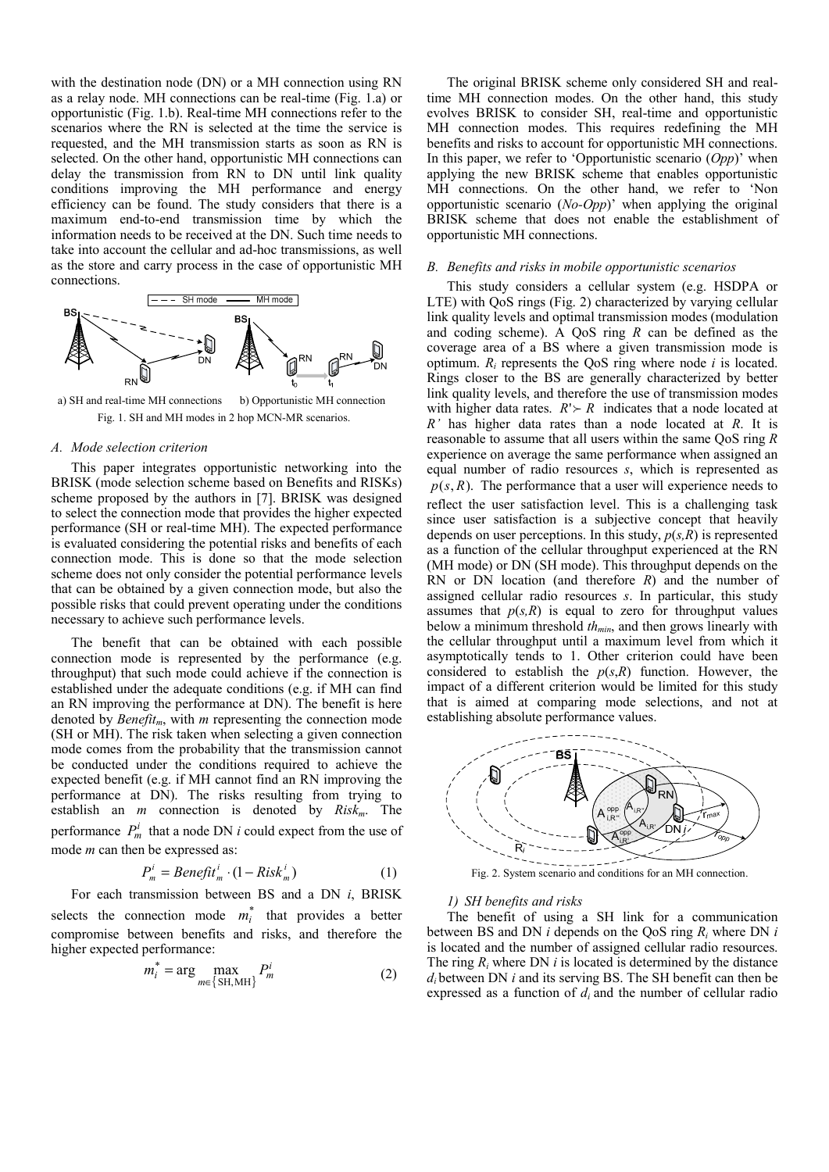with the destination node (DN) or a MH connection using RN as a relay node. MH connections can be real-time (Fig. 1.a) or opportunistic (Fig. 1.b). Real-time MH connections refer to the scenarios where the RN is selected at the time the service is requested, and the MH transmission starts as soon as RN is selected. On the other hand, opportunistic MH connections can delay the transmission from RN to DN until link quality conditions improving the MH performance and energy efficiency can be found. The study considers that there is a maximum end-to-end transmission time by which the information needs to be received at the DN. Such time needs to take into account the cellular and ad-hoc transmissions, as well as the store and carry process in the case of opportunistic MH connections.



a) SH and real-time MH connections b) Opportunistic MH connection Fig. 1. SH and MH modes in 2 hop MCN-MR scenarios.

#### *A. Mode selection criterion*

This paper integrates opportunistic networking into the BRISK (mode selection scheme based on Benefits and RISKs) scheme proposed by the authors in [7]. BRISK was designed to select the connection mode that provides the higher expected performance (SH or real-time MH). The expected performance is evaluated considering the potential risks and benefits of each connection mode. This is done so that the mode selection scheme does not only consider the potential performance levels that can be obtained by a given connection mode, but also the possible risks that could prevent operating under the conditions necessary to achieve such performance levels.

The benefit that can be obtained with each possible connection mode is represented by the performance (e.g. throughput) that such mode could achieve if the connection is established under the adequate conditions (e.g. if MH can find an RN improving the performance at DN). The benefit is here denoted by *Benefit<sub>m</sub>*, with *m* representing the connection mode (SH or MH). The risk taken when selecting a given connection mode comes from the probability that the transmission cannot be conducted under the conditions required to achieve the expected benefit (e.g. if MH cannot find an RN improving the performance at DN). The risks resulting from trying to establish an *m* connection is denoted by *Riskm*. The performance  $P_m^i$  that a node DN *i* could expect from the use of mode *m* can then be expressed as:

$$
P_m^i = \text{Beneft}_m^i \cdot (1 - \text{Risk}_m^i) \tag{1}
$$

For each transmission between BS and a DN *i*, BRISK selects the connection mode  $m_i^*$  that provides a better compromise between benefits and risks, and therefore the higher expected performance:

$$
m_i^* = \arg\max_{m \in \{SH, MH\}} P_m^i \tag{2}
$$

The original BRISK scheme only considered SH and realtime MH connection modes. On the other hand, this study evolves BRISK to consider SH, real-time and opportunistic MH connection modes. This requires redefining the MH benefits and risks to account for opportunistic MH connections. In this paper, we refer to 'Opportunistic scenario (*Opp*)' when applying the new BRISK scheme that enables opportunistic MH connections. On the other hand, we refer to 'Non opportunistic scenario (*No-Opp*)' when applying the original BRISK scheme that does not enable the establishment of opportunistic MH connections.

## *B. Benefits and risks in mobile opportunistic scenarios*

This study considers a cellular system (e.g. HSDPA or LTE) with QoS rings (Fig. 2) characterized by varying cellular link quality levels and optimal transmission modes (modulation and coding scheme). A QoS ring *R* can be defined as the coverage area of a BS where a given transmission mode is optimum. *Ri* represents the QoS ring where node *i* is located. Rings closer to the BS are generally characterized by better link quality levels, and therefore the use of transmission modes with higher data rates.  $R' \succ R$  indicates that a node located at *R'* has higher data rates than a node located at *R*. It is reasonable to assume that all users within the same QoS ring *R* experience on average the same performance when assigned an equal number of radio resources *s*, which is represented as  $p(s, R)$ . The performance that a user will experience needs to reflect the user satisfaction level. This is a challenging task since user satisfaction is a subjective concept that heavily depends on user perceptions. In this study, *p*(*s,R*) is represented as a function of the cellular throughput experienced at the RN (MH mode) or DN (SH mode). This throughput depends on the RN or DN location (and therefore *R*) and the number of assigned cellular radio resources *s*. In particular, this study assumes that  $p(s, R)$  is equal to zero for throughput values below a minimum threshold  $th_{min}$ , and then grows linearly with the cellular throughput until a maximum level from which it asymptotically tends to 1. Other criterion could have been considered to establish the *p*(*s*,*R*) function. However, the impact of a different criterion would be limited for this study that is aimed at comparing mode selections, and not at establishing absolute performance values.



Fig. 2. System scenario and conditions for an MH connection.

#### *1) SH benefits and risks*

The benefit of using a SH link for a communication between BS and DN *i* depends on the QoS ring *Ri* where DN *i*  is located and the number of assigned cellular radio resources. The ring *Ri* where DN *i* is located is determined by the distance *di* between DN *i* and its serving BS. The SH benefit can then be expressed as a function of *di* and the number of cellular radio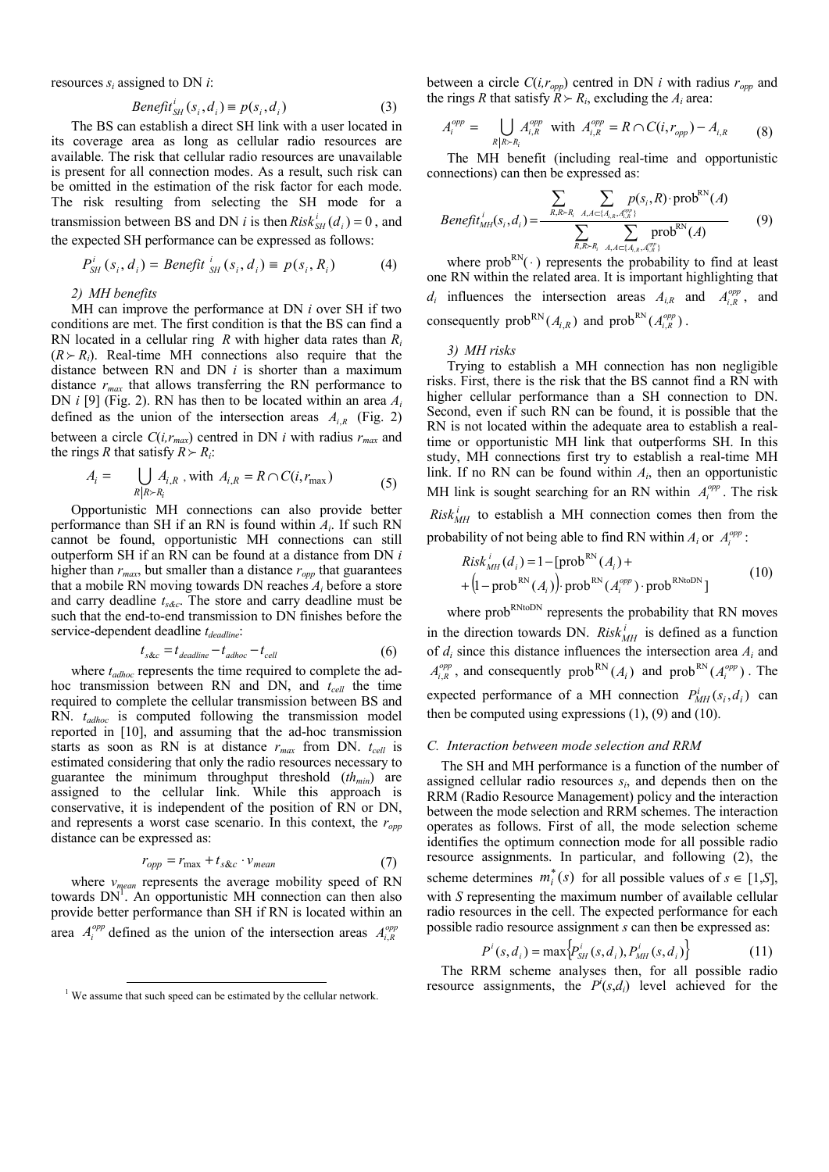resources *si* assigned to DN *i*:

$$
Benefti_{SH}^{i}(s_i, d_i) \equiv p(s_i, d_i)
$$
 (3)

The BS can establish a direct SH link with a user located in its coverage area as long as cellular radio resources are available. The risk that cellular radio resources are unavailable is present for all connection modes. As a result, such risk can be omitted in the estimation of the risk factor for each mode. The risk resulting from selecting the SH mode for a transmission between BS and DN *i* is then  $Risk_{SH}^{i}(d_i) = 0$ , and the expected SH performance can be expressed as follows:

$$
P_{SH}^{i}(s_{i}, d_{i}) = \text{Benefit}_{SH}^{i}(s_{i}, d_{i}) \equiv p(s_{i}, R_{i}) \tag{4}
$$

## *2) MH benefits*

MH can improve the performance at DN *i* over SH if two conditions are met. The first condition is that the BS can find a RN located in a cellular ring *R* with higher data rates than *Ri*  $(R \succ R_i)$ . Real-time MH connections also require that the distance between RN and DN *i* is shorter than a maximum distance *rmax* that allows transferring the RN performance to DN *i* [9] (Fig. 2). RN has then to be located within an area *Ai* defined as the union of the intersection areas  $A_{iR}$  (Fig. 2) between a circle  $C(i,r_{max})$  centred in DN *i* with radius  $r_{max}$  and the rings *R* that satisfy  $R \succ R_i$ :

$$
A_i = \bigcup_{R \mid R > R_i} A_{i,R} \text{ , with } A_{i,R} = R \cap C(i,r_{\text{max}}) \tag{5}
$$

Opportunistic MH connections can also provide better performance than SH if an RN is found within *Ai*. If such RN cannot be found, opportunistic MH connections can still outperform SH if an RN can be found at a distance from DN *i* higher than  $r_{max}$ , but smaller than a distance  $r_{opp}$  that guarantees that a mobile RN moving towards DN reaches *Ai* before a store and carry deadline *ts&c*. The store and carry deadline must be such that the end-to-end transmission to DN finishes before the service-dependent deadline *t*<sub>deadline</sub>:

$$
t_{s\&c} = t_{\text{deadline}} - t_{\text{adhoc}} - t_{\text{cell}} \tag{6}
$$

where  $t_{adhoc}$  represents the time required to complete the adhoc transmission between RN and DN, and  $t_{cell}$  the time required to complete the cellular transmission between BS and RN. *tadhoc* is computed following the transmission model reported in [10], and assuming that the ad-hoc transmission starts as soon as RN is at distance *rmax* from DN. *tcell* is estimated considering that only the radio resources necessary to guarantee the minimum throughput threshold  $(th<sub>min</sub>)$  are assigned to the cellular link. While this approach is conservative, it is independent of the position of RN or DN, and represents a worst case scenario. In this context, the  $r_{opp}$ distance can be expressed as:

$$
r_{opp} = r_{\text{max}} + t_{s\&c} \cdot v_{mean} \tag{7}
$$

where  $v_{mean}$  represents the average mobility speed of RN towards  $DN<sup>T</sup>$ . An opportunistic MH connection can then also provide better performance than SH if RN is located within an area  $A_i^{opp}$  defined as the union of the intersection areas  $A_{i,R}^{opp}$ 

between a circle  $C(i, r_{opp})$  centred in DN *i* with radius  $r_{opp}$  and the rings *R* that satisfy  $R \succ R_i$ , excluding the  $A_i$  area:

$$
A_i^{opp} = \bigcup_{R | R > R_i} A_{i,R}^{opp} \text{ with } A_{i,R}^{opp} = R \cap C(i, r_{opp}) - A_{i,R} \tag{8}
$$

The MH benefit (including real-time and opportunistic connections) can then be expressed as:

$$
Benefit_{MH}^{i}(s_i, d_i) = \frac{\sum_{R,R>R_i} \sum_{A, A \subset \{A_{i,R}, A_{i,R}^{opp}\}} p(s_i, R) \cdot \text{prob}^{RN}(A)}{\sum_{R,R>R_i} \sum_{A, A \subset \{A_{i,R}, A_{i,R}^{opp}\}} \text{prob}^{RN}(A)}
$$
(9)

where  $prob^{RN}(\cdot)$  represents the probability to find at least one RN within the related area. It is important highlighting that  $d_i$  influences the intersection areas  $A_{i,R}$  and  $A_{i,R}^{opp}$ , and consequently prob<sup>RN</sup>( $A_{i,R}$ ) and prob<sup>RN</sup>( $A_{i,R}^{opp}$ ).

#### *3) MH risks*

Trying to establish a MH connection has non negligible risks. First, there is the risk that the BS cannot find a RN with higher cellular performance than a SH connection to DN. Second, even if such RN can be found, it is possible that the RN is not located within the adequate area to establish a realtime or opportunistic MH link that outperforms SH. In this study, MH connections first try to establish a real-time MH link. If no RN can be found within *Ai*, then an opportunistic MH link is sought searching for an RN within  $A_i^{opp}$ . The risk  $Risk_{MH}^{i}$  to establish a MH connection comes then from the probability of not being able to find RN within  $A_i$  or  $A_i^{opp}$ :

$$
RiskMHi(di) = 1 - [probRN(Ai) ++ (1 - probRN(Ai))Pr probRN(Aiopp) \cdot probRNolQ]
$$
 (10)

where prob<sup>RNtoDN</sup> represents the probability that RN moves in the direction towards DN.  $Risk_{MH}^{i}$  is defined as a function of *di* since this distance influences the intersection area *Ai* and  $A_{i,R}^{opp}$ , and consequently prob<sup>RN</sup>( $A_i$ ) and prob<sup>RN</sup>( $A_i^{opp}$ ). The expected performance of a MH connection  $P_{MH}^{i}(s_i, d_i)$  can then be computed using expressions  $(1)$ ,  $(9)$  and  $(10)$ .

### *C. Interaction between mode selection and RRM*

The SH and MH performance is a function of the number of assigned cellular radio resources *si*, and depends then on the RRM (Radio Resource Management) policy and the interaction between the mode selection and RRM schemes. The interaction operates as follows. First of all, the mode selection scheme identifies the optimum connection mode for all possible radio resource assignments. In particular, and following (2), the scheme determines  $m_i^*(s)$  for all possible values of  $s \in [1, S]$ , with *S* representing the maximum number of available cellular radio resources in the cell. The expected performance for each possible radio resource assignment *s* can then be expressed as:

$$
P^{i}(s, d_{i}) = \max\{P_{SH}^{i}(s, d_{i}), P_{MH}^{i}(s, d_{i})\}
$$
(11)

The RRM scheme analyses then, for all possible radio resource assignments, the  $P^i(s,d_i)$  level achieved for the

<sup>&</sup>lt;sup>1</sup> We assume that such speed can be estimated by the cellular network.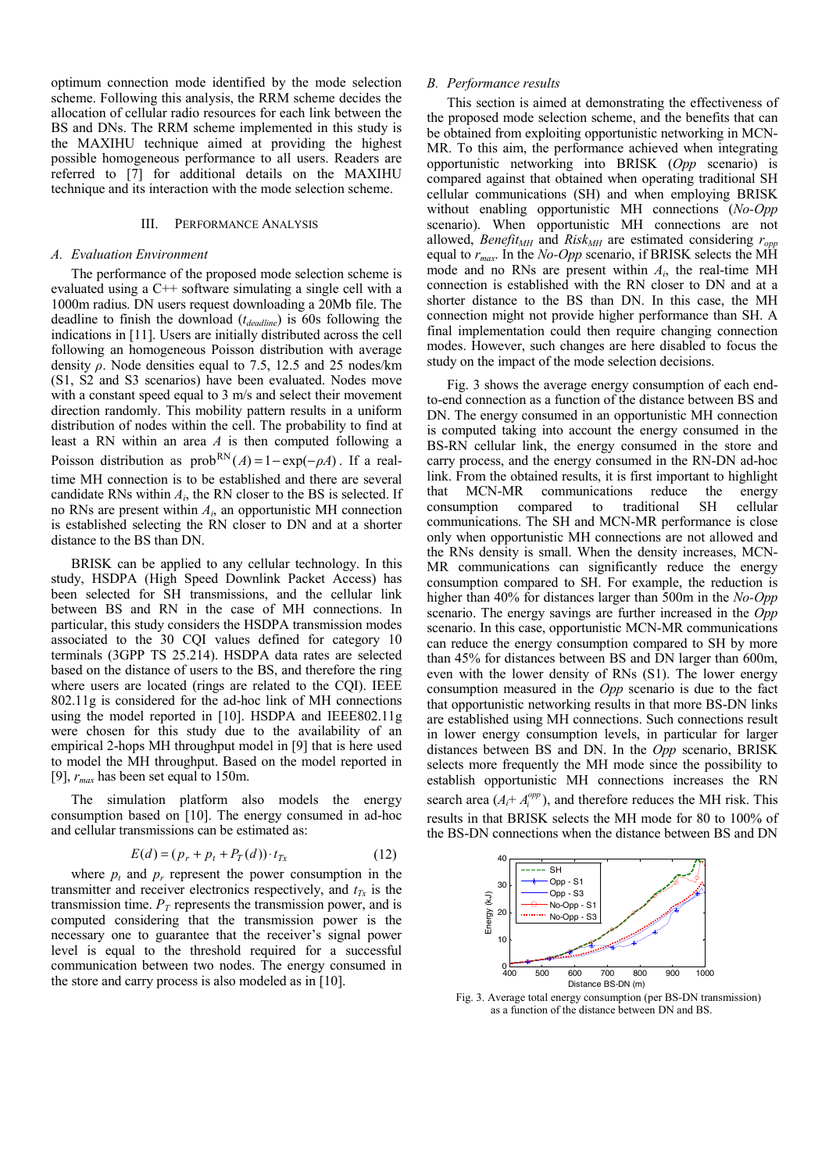optimum connection mode identified by the mode selection scheme. Following this analysis, the RRM scheme decides the allocation of cellular radio resources for each link between the BS and DNs. The RRM scheme implemented in this study is the MAXIHU technique aimed at providing the highest possible homogeneous performance to all users. Readers are referred to [7] for additional details on the MAXIHU technique and its interaction with the mode selection scheme.

## III. PERFORMANCE ANALYSIS

## *A. Evaluation Environment*

The performance of the proposed mode selection scheme is evaluated using a C++ software simulating a single cell with a 1000m radius. DN users request downloading a 20Mb file. The deadline to finish the download (*tdeadline*) is 60s following the indications in [11]. Users are initially distributed across the cell following an homogeneous Poisson distribution with average density *ρ*. Node densities equal to 7.5, 12.5 and 25 nodes/km (S1, S2 and S3 scenarios) have been evaluated. Nodes move with a constant speed equal to 3 m/s and select their movement direction randomly. This mobility pattern results in a uniform distribution of nodes within the cell. The probability to find at least a RN within an area *A* is then computed following a Poisson distribution as  $prob^{RN}(A) = 1 - exp(-\rho A)$ . If a realtime MH connection is to be established and there are several candidate RNs within  $A_i$ , the RN closer to the BS is selected. If no RNs are present within *Ai*, an opportunistic MH connection is established selecting the RN closer to DN and at a shorter distance to the BS than DN.

BRISK can be applied to any cellular technology. In this study, HSDPA (High Speed Downlink Packet Access) has been selected for SH transmissions, and the cellular link between BS and RN in the case of MH connections. In particular, this study considers the HSDPA transmission modes associated to the 30 CQI values defined for category 10 terminals (3GPP TS 25.214). HSDPA data rates are selected based on the distance of users to the BS, and therefore the ring where users are located (rings are related to the CQI). IEEE 802.11g is considered for the ad-hoc link of MH connections using the model reported in [10]. HSDPA and IEEE802.11g were chosen for this study due to the availability of an empirical 2-hops MH throughput model in [9] that is here used to model the MH throughput. Based on the model reported in [9], *rmax* has been set equal to 150m.

The simulation platform also models the energy consumption based on [10]. The energy consumed in ad-hoc and cellular transmissions can be estimated as:

$$
E(d) = (p_r + p_t + P_T(d)) \cdot t_{Tx}
$$
 (12)

where  $p_t$  and  $p_r$  represent the power consumption in the transmitter and receiver electronics respectively, and  $t_{Tx}$  is the transmission time.  $P_T$  represents the transmission power, and is computed considering that the transmission power is the necessary one to guarantee that the receiver's signal power level is equal to the threshold required for a successful communication between two nodes. The energy consumed in the store and carry process is also modeled as in [10].

## *B. Performance results*

This section is aimed at demonstrating the effectiveness of the proposed mode selection scheme, and the benefits that can be obtained from exploiting opportunistic networking in MCN-MR. To this aim, the performance achieved when integrating opportunistic networking into BRISK (*Opp* scenario) is compared against that obtained when operating traditional SH cellular communications (SH) and when employing BRISK without enabling opportunistic MH connections (*No-Opp* scenario). When opportunistic MH connections are not allowed, *Benefit<sub>MH</sub>* and *Risk<sub>MH</sub>* are estimated considering  $r_{opp}$ equal to *rmax*. In the *No-Opp* scenario, if BRISK selects the MH mode and no RNs are present within *Ai*, the real-time MH connection is established with the RN closer to DN and at a shorter distance to the BS than DN. In this case, the MH connection might not provide higher performance than SH. A final implementation could then require changing connection modes. However, such changes are here disabled to focus the study on the impact of the mode selection decisions.

Fig. 3 shows the average energy consumption of each endto-end connection as a function of the distance between BS and DN. The energy consumed in an opportunistic MH connection is computed taking into account the energy consumed in the BS-RN cellular link, the energy consumed in the store and carry process, and the energy consumed in the RN-DN ad-hoc link. From the obtained results, it is first important to highlight that MCN-MR communications reduce the energy consumption compared to traditional SH cellular communications. The SH and MCN-MR performance is close only when opportunistic MH connections are not allowed and the RNs density is small. When the density increases, MCN-MR communications can significantly reduce the energy consumption compared to SH. For example, the reduction is higher than 40% for distances larger than 500m in the *No-Opp*  scenario. The energy savings are further increased in the *Opp*  scenario. In this case, opportunistic MCN-MR communications can reduce the energy consumption compared to SH by more than 45% for distances between BS and DN larger than 600m, even with the lower density of RNs (S1). The lower energy consumption measured in the *Opp* scenario is due to the fact that opportunistic networking results in that more BS-DN links are established using MH connections. Such connections result in lower energy consumption levels, in particular for larger distances between BS and DN. In the *Opp* scenario, BRISK selects more frequently the MH mode since the possibility to establish opportunistic MH connections increases the RN search area  $(A_i + A_i^{opp})$ , and therefore reduces the MH risk. This results in that BRISK selects the MH mode for 80 to 100% of the BS-DN connections when the distance between BS and DN



Fig. 3. Average total energy consumption (per BS-DN transmission) as a function of the distance between DN and BS.